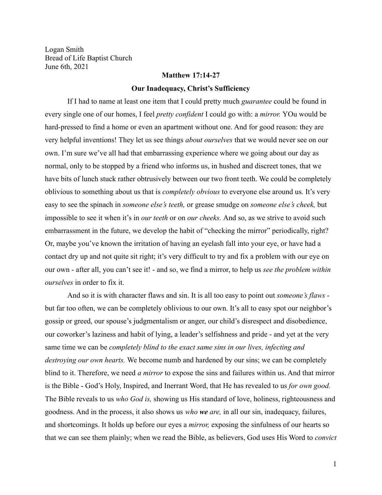Logan Smith Bread of Life Baptist Church June 6th, 2021

## **Matthew 17:14-27**

#### **Our Inadequacy, Christ's Sufficiency**

If I had to name at least one item that I could pretty much *guarantee* could be found in every single one of our homes, I feel *pretty confident* I could go with: a *mirror.* YOu would be hard-pressed to find a home or even an apartment without one. And for good reason: they are very helpful inventions! They let us see things *about ourselves* that we would never see on our own. I'm sure we've all had that embarrassing experience where we going about our day as normal, only to be stopped by a friend who informs us, in hushed and discreet tones, that we have bits of lunch stuck rather obtrusively between our two front teeth. We could be completely oblivious to something about us that is *completely obvious* to everyone else around us. It's very easy to see the spinach in *someone else's teeth,* or grease smudge on *someone else's cheek,* but impossible to see it when it's in *our teeth* or on *our cheeks.* And so, as we strive to avoid such embarrassment in the future, we develop the habit of "checking the mirror" periodically, right? Or, maybe you've known the irritation of having an eyelash fall into your eye, or have had a contact dry up and not quite sit right; it's very difficult to try and fix a problem with our eye on our own - after all, you can't see it! - and so, we find a mirror, to help us *see the problem within ourselves* in order to fix it.

And so it is with character flaws and sin. It is all too easy to point out *someone's flaws* but far too often, we can be completely oblivious to our own. It's all to easy spot our neighbor's gossip or greed, our spouse's judgmentalism or anger, our child's disrespect and disobedience, our coworker's laziness and habit of lying, a leader's selfishness and pride - and yet at the very same time we can be *completely blind to the exact same sins in our lives, infecting and destroying our own hearts.* We become numb and hardened by our sins; we can be completely blind to it. Therefore, we need *a mirror* to expose the sins and failures within us. And that mirror is the Bible - God's Holy, Inspired, and Inerrant Word, that He has revealed to us *for own good.* The Bible reveals to us *who God is,* showing us His standard of love, holiness, righteousness and goodness. And in the process, it also shows us *who we are,* in all our sin, inadequacy, failures, and shortcomings. It holds up before our eyes a *mirror,* exposing the sinfulness of our hearts so that we can see them plainly; when we read the Bible, as believers, God uses His Word to *convict*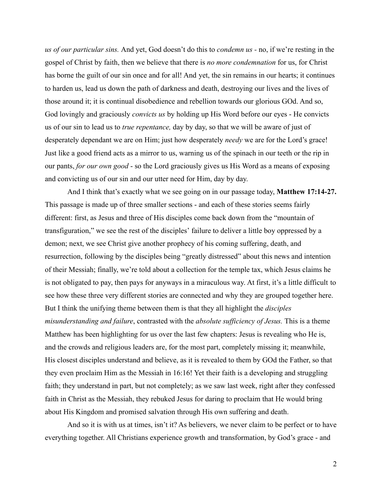*us of our particular sins.* And yet, God doesn't do this to *condemn us -* no, if we're resting in the gospel of Christ by faith, then we believe that there is *no more condemnation* for us, for Christ has borne the guilt of our sin once and for all! And yet, the sin remains in our hearts; it continues to harden us, lead us down the path of darkness and death, destroying our lives and the lives of those around it; it is continual disobedience and rebellion towards our glorious GOd. And so, God lovingly and graciously *convicts us* by holding up His Word before our eyes - He convicts us of our sin to lead us to *true repentance,* day by day, so that we will be aware of just of desperately dependant we are on Him; just how desperately *needy* we are for the Lord's grace! Just like a good friend acts as a mirror to us, warning us of the spinach in our teeth or the rip in our pants, *for our own good* - so the Lord graciously gives us His Word as a means of exposing and convicting us of our sin and our utter need for Him, day by day.

And I think that's exactly what we see going on in our passage today, **Matthew 17:14-27.** This passage is made up of three smaller sections - and each of these stories seems fairly different: first, as Jesus and three of His disciples come back down from the "mountain of transfiguration," we see the rest of the disciples' failure to deliver a little boy oppressed by a demon; next, we see Christ give another prophecy of his coming suffering, death, and resurrection, following by the disciples being "greatly distressed" about this news and intention of their Messiah; finally, we're told about a collection for the temple tax, which Jesus claims he is not obligated to pay, then pays for anyways in a miraculous way. At first, it's a little difficult to see how these three very different stories are connected and why they are grouped together here. But I think the unifying theme between them is that they all highlight the *disciples misunderstanding and failure*, contrasted with the *absolute sufficiency of Jesus.* This is a theme Matthew has been highlighting for us over the last few chapters: Jesus is revealing who He is, and the crowds and religious leaders are, for the most part, completely missing it; meanwhile, His closest disciples understand and believe, as it is revealed to them by GOd the Father, so that they even proclaim Him as the Messiah in 16:16! Yet their faith is a developing and struggling faith; they understand in part, but not completely; as we saw last week, right after they confessed faith in Christ as the Messiah, they rebuked Jesus for daring to proclaim that He would bring about His Kingdom and promised salvation through His own suffering and death.

And so it is with us at times, isn't it? As believers, we never claim to be perfect or to have everything together. All Christians experience growth and transformation, by God's grace - and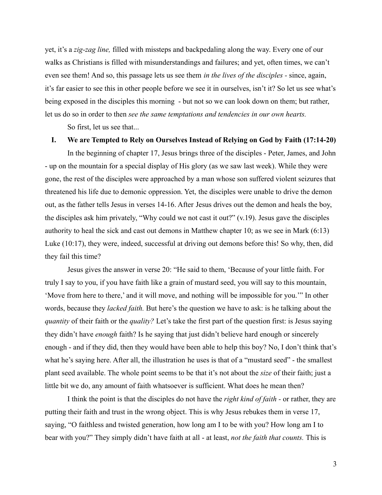yet, it's a *zig-zag line,* filled with missteps and backpedaling along the way. Every one of our walks as Christians is filled with misunderstandings and failures; and yet, often times, we can't even see them! And so, this passage lets us see them *in the lives of the disciples -* since, again, it's far easier to see this in other people before we see it in ourselves, isn't it? So let us see what's being exposed in the disciples this morning - but not so we can look down on them; but rather, let us do so in order to then *see the same temptations and tendencies in our own hearts.*

So first, let us see that...

#### **I. We are Tempted to Rely on Ourselves Instead of Relying on God by Faith (17:14-20)**

In the beginning of chapter 17, Jesus brings three of the disciples - Peter, James, and John - up on the mountain for a special display of His glory (as we saw last week). While they were gone, the rest of the disciples were approached by a man whose son suffered violent seizures that threatened his life due to demonic oppression. Yet, the disciples were unable to drive the demon out, as the father tells Jesus in verses 14-16. After Jesus drives out the demon and heals the boy, the disciples ask him privately, "Why could we not cast it out?" (v.19). Jesus gave the disciples authority to heal the sick and cast out demons in Matthew chapter 10; as we see in Mark (6:13) Luke (10:17), they were, indeed, successful at driving out demons before this! So why, then, did they fail this time?

Jesus gives the answer in verse 20: "He said to them, 'Because of your little faith. For truly I say to you, if you have faith like a grain of mustard seed, you will say to this mountain, 'Move from here to there,' and it will move, and nothing will be impossible for you.'" In other words, because they *lacked faith.* But here's the question we have to ask: is he talking about the *quantity* of their faith or the *quality?* Let's take the first part of the question first: is Jesus saying they didn't have *enough* faith? Is he saying that just didn't believe hard enough or sincerely enough - and if they did, then they would have been able to help this boy? No, I don't think that's what he's saying here. After all, the illustration he uses is that of a "mustard seed" - the smallest plant seed available. The whole point seems to be that it's not about the *size* of their faith; just a little bit we do, any amount of faith whatsoever is sufficient. What does he mean then?

I think the point is that the disciples do not have the *right kind of faith -* or rather, they are putting their faith and trust in the wrong object. This is why Jesus rebukes them in verse 17, saying, "O faithless and twisted generation, how long am I to be with you? How long am I to bear with you?" They simply didn't have faith at all - at least, *not the faith that counts.* This is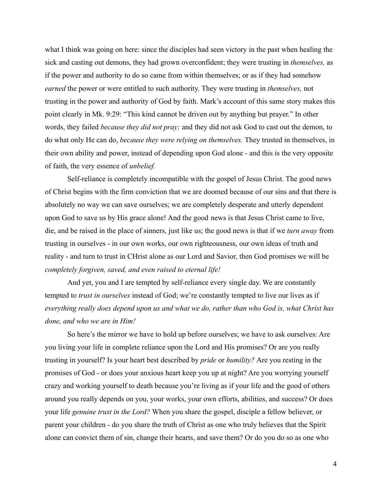what I think was going on here: since the disciples had seen victory in the past when healing the sick and casting out demons, they had grown overconfident; they were trusting in *themselves,* as if the power and authority to do so came from within themselves; or as if they had somehow *earned* the power or were entitled to such authority. They were trusting in *themselves,* not trusting in the power and authority of God by faith. Mark's account of this same story makes this point clearly in Mk. 9:29: "This kind cannot be driven out by anything but prayer." In other words, they failed *because they did not pray;* and they did not ask God to cast out the demon, to do what only He can do, *because they were relying on themselves.* They trusted in themselves, in their own ability and power, instead of depending upon God alone - and this is the very opposite of faith, the very essence of *unbelief.*

Self-reliance is completely incompatible with the gospel of Jesus Christ. The good news of Christ begins with the firm conviction that we are doomed because of our sins and that there is absolutely no way we can save ourselves; we are completely desperate and utterly dependent upon God to save us by His grace alone! And the good news is that Jesus Christ came to live, die, and be raised in the place of sinners, just like us; the good news is that if we *turn away* from trusting in ourselves - in our own works, our own righteousness, our own ideas of truth and reality - and turn to trust in CHrist alone as our Lord and Savior, then God promises we will be *completely forgiven, saved, and even raised to eternal life!*

And yet, you and I are tempted by self-reliance every single day. We are constantly tempted to *trust in ourselves* instead of God; we're constantly tempted to live our lives as if *everything really does depend upon us and what we do, rather than who God is, what Christ has done, and who we are in Him!*

So here's the mirror we have to hold up before ourselves; we have to ask ourselves: Are you living your life in complete reliance upon the Lord and His promises? Or are you really trusting in yourself? Is your heart best described by *pride* or *humility?* Are you resting in the promises of God - or does your anxious heart keep you up at night? Are you worrying yourself crazy and working yourself to death because you're living as if your life and the good of others around you really depends on you, your works, your own efforts, abilities, and success? Or does your life *genuine trust in the Lord?* When you share the gospel, disciple a fellow believer, or parent your children - do you share the truth of Christ as one who truly believes that the Spirit alone can convict them of sin, change their hearts, and save them? Or do you do so as one who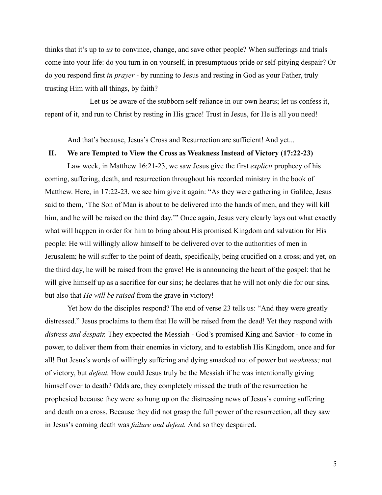thinks that it's up to *us* to convince, change, and save other people? When sufferings and trials come into your life: do you turn in on yourself, in presumptuous pride or self-pitying despair? Or do you respond first *in prayer* - by running to Jesus and resting in God as your Father, truly trusting Him with all things, by faith?

Let us be aware of the stubborn self-reliance in our own hearts; let us confess it, repent of it, and run to Christ by resting in His grace! Trust in Jesus, for He is all you need!

And that's because, Jesus's Cross and Resurrection are sufficient! And yet...

### **II. We are Tempted to View the Cross as Weakness Instead of Victory (17:22-23)**

Law week, in Matthew 16:21-23, we saw Jesus give the first *explicit* prophecy of his coming, suffering, death, and resurrection throughout his recorded ministry in the book of Matthew. Here, in 17:22-23, we see him give it again: "As they were gathering in Galilee, Jesus said to them, 'The Son of Man is about to be delivered into the hands of men, and they will kill him, and he will be raised on the third day."" Once again, Jesus very clearly lays out what exactly what will happen in order for him to bring about His promised Kingdom and salvation for His people: He will willingly allow himself to be delivered over to the authorities of men in Jerusalem; he will suffer to the point of death, specifically, being crucified on a cross; and yet, on the third day, he will be raised from the grave! He is announcing the heart of the gospel: that he will give himself up as a sacrifice for our sins; he declares that he will not only die for our sins, but also that *He will be raised* from the grave in victory!

Yet how do the disciples respond? The end of verse 23 tells us: "And they were greatly distressed." Jesus proclaims to them that He will be raised from the dead! Yet they respond with *distress and despair.* They expected the Messiah - God's promised King and Savior - to come in power, to deliver them from their enemies in victory, and to establish His Kingdom, once and for all! But Jesus's words of willingly suffering and dying smacked not of power but *weakness;* not of victory, but *defeat.* How could Jesus truly be the Messiah if he was intentionally giving himself over to death? Odds are, they completely missed the truth of the resurrection he prophesied because they were so hung up on the distressing news of Jesus's coming suffering and death on a cross. Because they did not grasp the full power of the resurrection, all they saw in Jesus's coming death was *failure and defeat.* And so they despaired.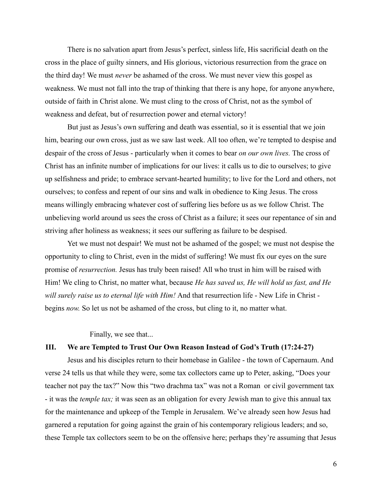There is no salvation apart from Jesus's perfect, sinless life, His sacrificial death on the cross in the place of guilty sinners, and His glorious, victorious resurrection from the grace on the third day! We must *never* be ashamed of the cross. We must never view this gospel as weakness. We must not fall into the trap of thinking that there is any hope, for anyone anywhere, outside of faith in Christ alone. We must cling to the cross of Christ, not as the symbol of weakness and defeat, but of resurrection power and eternal victory!

But just as Jesus's own suffering and death was essential, so it is essential that we join him, bearing our own cross, just as we saw last week. All too often, we're tempted to despise and despair of the cross of Jesus - particularly when it comes to bear *on our own lives.* The cross of Christ has an infinite number of implications for our lives: it calls us to die to ourselves; to give up selfishness and pride; to embrace servant-hearted humility; to live for the Lord and others, not ourselves; to confess and repent of our sins and walk in obedience to King Jesus. The cross means willingly embracing whatever cost of suffering lies before us as we follow Christ. The unbelieving world around us sees the cross of Christ as a failure; it sees our repentance of sin and striving after holiness as weakness; it sees our suffering as failure to be despised.

Yet we must not despair! We must not be ashamed of the gospel; we must not despise the opportunity to cling to Christ, even in the midst of suffering! We must fix our eyes on the sure promise of *resurrection.* Jesus has truly been raised! All who trust in him will be raised with Him! We cling to Christ, no matter what, because *He has saved us, He will hold us fast, and He will surely raise us to eternal life with Him!* And that resurrection life - New Life in Christ begins *now.* So let us not be ashamed of the cross, but cling to it, no matter what.

Finally, we see that...

# **III. We are Tempted to Trust Our Own Reason Instead of God's Truth (17:24-27)**

Jesus and his disciples return to their homebase in Galilee - the town of Capernaum. And verse 24 tells us that while they were, some tax collectors came up to Peter, asking, "Does your teacher not pay the tax?" Now this "two drachma tax" was not a Roman or civil government tax - it was the *temple tax;* it was seen as an obligation for every Jewish man to give this annual tax for the maintenance and upkeep of the Temple in Jerusalem. We've already seen how Jesus had garnered a reputation for going against the grain of his contemporary religious leaders; and so, these Temple tax collectors seem to be on the offensive here; perhaps they're assuming that Jesus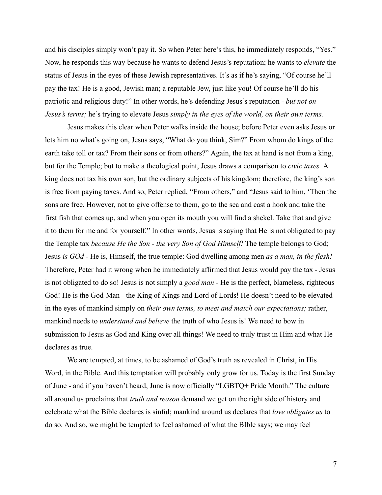and his disciples simply won't pay it. So when Peter here's this, he immediately responds, "Yes." Now, he responds this way because he wants to defend Jesus's reputation; he wants to *elevate* the status of Jesus in the eyes of these Jewish representatives. It's as if he's saying, "Of course he'll pay the tax! He is a good, Jewish man; a reputable Jew, just like you! Of course he'll do his patriotic and religious duty!" In other words, he's defending Jesus's reputation - *but not on Jesus's terms;* he's trying to elevate Jesus *simply in the eyes of the world, on their own terms.*

Jesus makes this clear when Peter walks inside the house; before Peter even asks Jesus or lets him no what's going on, Jesus says, "What do you think, Sim?" From whom do kings of the earth take toll or tax? From their sons or from others?" Again, the tax at hand is not from a king, but for the Temple; but to make a theological point, Jesus draws a comparison to *civic taxes.* A king does not tax his own son, but the ordinary subjects of his kingdom; therefore, the king's son is free from paying taxes. And so, Peter replied, "From others," and "Jesus said to him, 'Then the sons are free. However, not to give offense to them, go to the sea and cast a hook and take the first fish that comes up, and when you open its mouth you will find a shekel. Take that and give it to them for me and for yourself." In other words, Jesus is saying that He is not obligated to pay the Temple tax *because He the Son - the very Son of God Himself!* The temple belongs to God; Jesus *is GOd -* He is, Himself, the true temple: God dwelling among men *as a man, in the flesh!* Therefore, Peter had it wrong when he immediately affirmed that Jesus would pay the tax - Jesus is not obligated to do so! Jesus is not simply a *good man -* He is the perfect, blameless, righteous God! He is the God-Man - the King of Kings and Lord of Lords! He doesn't need to be elevated in the eyes of mankind simply on *their own terms, to meet and match our expectations;* rather, mankind needs to *understand and believe* the truth of who Jesus is! We need to bow in submission to Jesus as God and King over all things! We need to truly trust in Him and what He declares as true.

We are tempted, at times, to be ashamed of God's truth as revealed in Christ, in His Word, in the Bible. And this temptation will probably only grow for us. Today is the first Sunday of June - and if you haven't heard, June is now officially "LGBTQ+ Pride Month." The culture all around us proclaims that *truth and reason* demand we get on the right side of history and celebrate what the Bible declares is sinful; mankind around us declares that *love obligates us* to do so. And so, we might be tempted to feel ashamed of what the BIble says; we may feel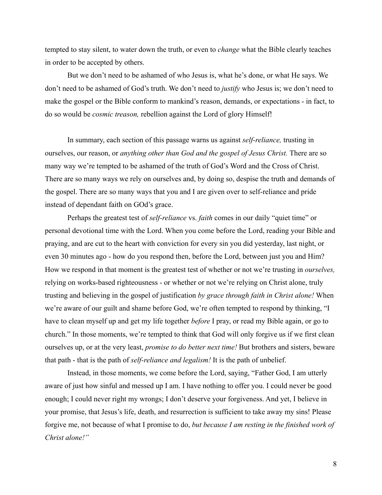tempted to stay silent, to water down the truth, or even to *change* what the Bible clearly teaches in order to be accepted by others.

But we don't need to be ashamed of who Jesus is, what he's done, or what He says. We don't need to be ashamed of God's truth. We don't need to *justify* who Jesus is; we don't need to make the gospel or the Bible conform to mankind's reason, demands, or expectations - in fact, to do so would be *cosmic treason,* rebellion against the Lord of glory Himself!

In summary, each section of this passage warns us against *self-reliance,* trusting in ourselves, our reason, or *anything other than God and the gospel of Jesus Christ.* There are so many way we're tempted to be ashamed of the truth of God's Word and the Cross of Christ. There are so many ways we rely on ourselves and, by doing so, despise the truth and demands of the gospel. There are so many ways that you and I are given over to self-reliance and pride instead of dependant faith on GOd's grace.

Perhaps the greatest test of *self-reliance* vs. *faith* comes in our daily "quiet time" or personal devotional time with the Lord. When you come before the Lord, reading your Bible and praying, and are cut to the heart with conviction for every sin you did yesterday, last night, or even 30 minutes ago - how do you respond then, before the Lord, between just you and Him? How we respond in that moment is the greatest test of whether or not we're trusting in *ourselves,* relying on works-based righteousness - or whether or not we're relying on Christ alone, truly trusting and believing in the gospel of justification *by grace through faith in Christ alone!* When we're aware of our guilt and shame before God, we're often tempted to respond by thinking, "I have to clean myself up and get my life together *before* I pray, or read my Bible again, or go to church." In those moments, we're tempted to think that God will only forgive us if we first clean ourselves up, or at the very least, *promise to do better next time!* But brothers and sisters, beware that path - that is the path of *self-reliance and legalism!* It is the path of unbelief.

Instead, in those moments, we come before the Lord, saying, "Father God, I am utterly aware of just how sinful and messed up I am. I have nothing to offer you. I could never be good enough; I could never right my wrongs; I don't deserve your forgiveness. And yet, I believe in your promise, that Jesus's life, death, and resurrection is sufficient to take away my sins! Please forgive me, not because of what I promise to do, *but because I am resting in the finished work of Christ alone!"*